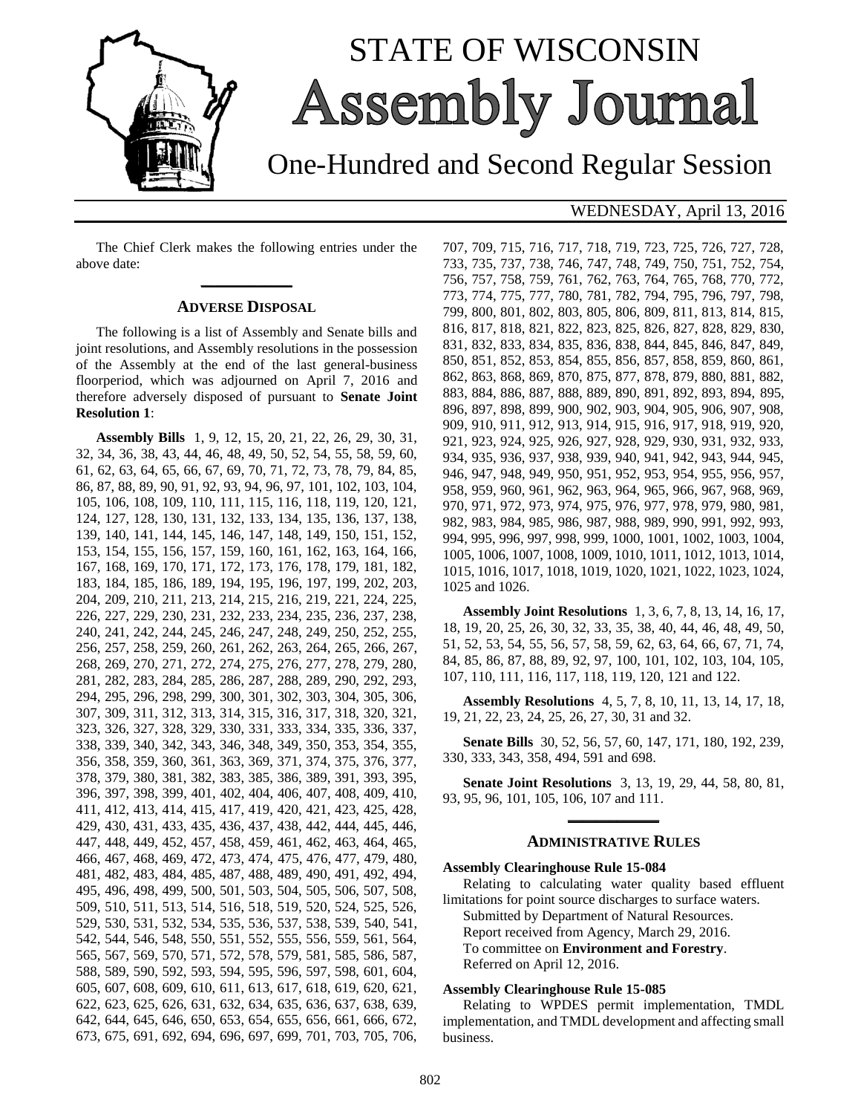

# STATE OF WISCONSIN **Assembly Journal**

One-Hundred and Second Regular Session

WEDNESDAY, April 13, 2016

The Chief Clerk makes the following entries under the above date: **\_\_\_\_\_\_\_\_\_\_\_\_\_**

#### **ADVERSE DISPOSAL**

The following is a list of Assembly and Senate bills and joint resolutions, and Assembly resolutions in the possession of the Assembly at the end of the last general-business floorperiod, which was adjourned on April 7, 2016 and therefore adversely disposed of pursuant to **Senate Joint Resolution 1**:

**Assembly Bills** 1, 9, 12, 15, 20, 21, 22, 26, 29, 30, 31, 32, 34, 36, 38, 43, 44, 46, 48, 49, 50, 52, 54, 55, 58, 59, 60, 61, 62, 63, 64, 65, 66, 67, 69, 70, 71, 72, 73, 78, 79, 84, 85, 86, 87, 88, 89, 90, 91, 92, 93, 94, 96, 97, 101, 102, 103, 104, 105, 106, 108, 109, 110, 111, 115, 116, 118, 119, 120, 121, 124, 127, 128, 130, 131, 132, 133, 134, 135, 136, 137, 138, 139, 140, 141, 144, 145, 146, 147, 148, 149, 150, 151, 152, 153, 154, 155, 156, 157, 159, 160, 161, 162, 163, 164, 166, 167, 168, 169, 170, 171, 172, 173, 176, 178, 179, 181, 182, 183, 184, 185, 186, 189, 194, 195, 196, 197, 199, 202, 203, 204, 209, 210, 211, 213, 214, 215, 216, 219, 221, 224, 225, 226, 227, 229, 230, 231, 232, 233, 234, 235, 236, 237, 238, 240, 241, 242, 244, 245, 246, 247, 248, 249, 250, 252, 255, 256, 257, 258, 259, 260, 261, 262, 263, 264, 265, 266, 267, 268, 269, 270, 271, 272, 274, 275, 276, 277, 278, 279, 280, 281, 282, 283, 284, 285, 286, 287, 288, 289, 290, 292, 293, 294, 295, 296, 298, 299, 300, 301, 302, 303, 304, 305, 306, 307, 309, 311, 312, 313, 314, 315, 316, 317, 318, 320, 321, 323, 326, 327, 328, 329, 330, 331, 333, 334, 335, 336, 337, 338, 339, 340, 342, 343, 346, 348, 349, 350, 353, 354, 355, 356, 358, 359, 360, 361, 363, 369, 371, 374, 375, 376, 377, 378, 379, 380, 381, 382, 383, 385, 386, 389, 391, 393, 395, 396, 397, 398, 399, 401, 402, 404, 406, 407, 408, 409, 410, 411, 412, 413, 414, 415, 417, 419, 420, 421, 423, 425, 428, 429, 430, 431, 433, 435, 436, 437, 438, 442, 444, 445, 446, 447, 448, 449, 452, 457, 458, 459, 461, 462, 463, 464, 465, 466, 467, 468, 469, 472, 473, 474, 475, 476, 477, 479, 480, 481, 482, 483, 484, 485, 487, 488, 489, 490, 491, 492, 494, 495, 496, 498, 499, 500, 501, 503, 504, 505, 506, 507, 508, 509, 510, 511, 513, 514, 516, 518, 519, 520, 524, 525, 526, 529, 530, 531, 532, 534, 535, 536, 537, 538, 539, 540, 541, 542, 544, 546, 548, 550, 551, 552, 555, 556, 559, 561, 564, 565, 567, 569, 570, 571, 572, 578, 579, 581, 585, 586, 587, 588, 589, 590, 592, 593, 594, 595, 596, 597, 598, 601, 604, 605, 607, 608, 609, 610, 611, 613, 617, 618, 619, 620, 621, 622, 623, 625, 626, 631, 632, 634, 635, 636, 637, 638, 639, 642, 644, 645, 646, 650, 653, 654, 655, 656, 661, 666, 672, 673, 675, 691, 692, 694, 696, 697, 699, 701, 703, 705, 706, 707, 709, 715, 716, 717, 718, 719, 723, 725, 726, 727, 728, 733, 735, 737, 738, 746, 747, 748, 749, 750, 751, 752, 754, 756, 757, 758, 759, 761, 762, 763, 764, 765, 768, 770, 772, 773, 774, 775, 777, 780, 781, 782, 794, 795, 796, 797, 798, 799, 800, 801, 802, 803, 805, 806, 809, 811, 813, 814, 815, 816, 817, 818, 821, 822, 823, 825, 826, 827, 828, 829, 830, 831, 832, 833, 834, 835, 836, 838, 844, 845, 846, 847, 849, 850, 851, 852, 853, 854, 855, 856, 857, 858, 859, 860, 861, 862, 863, 868, 869, 870, 875, 877, 878, 879, 880, 881, 882, 883, 884, 886, 887, 888, 889, 890, 891, 892, 893, 894, 895, 896, 897, 898, 899, 900, 902, 903, 904, 905, 906, 907, 908, 909, 910, 911, 912, 913, 914, 915, 916, 917, 918, 919, 920, 921, 923, 924, 925, 926, 927, 928, 929, 930, 931, 932, 933, 934, 935, 936, 937, 938, 939, 940, 941, 942, 943, 944, 945, 946, 947, 948, 949, 950, 951, 952, 953, 954, 955, 956, 957, 958, 959, 960, 961, 962, 963, 964, 965, 966, 967, 968, 969, 970, 971, 972, 973, 974, 975, 976, 977, 978, 979, 980, 981, 982, 983, 984, 985, 986, 987, 988, 989, 990, 991, 992, 993, 994, 995, 996, 997, 998, 999, 1000, 1001, 1002, 1003, 1004, 1005, 1006, 1007, 1008, 1009, 1010, 1011, 1012, 1013, 1014, 1015, 1016, 1017, 1018, 1019, 1020, 1021, 1022, 1023, 1024, 1025 and 1026.

**Assembly Joint Resolutions** 1, 3, 6, 7, 8, 13, 14, 16, 17, 18, 19, 20, 25, 26, 30, 32, 33, 35, 38, 40, 44, 46, 48, 49, 50, 51, 52, 53, 54, 55, 56, 57, 58, 59, 62, 63, 64, 66, 67, 71, 74, 84, 85, 86, 87, 88, 89, 92, 97, 100, 101, 102, 103, 104, 105, 107, 110, 111, 116, 117, 118, 119, 120, 121 and 122.

**Assembly Resolutions** 4, 5, 7, 8, 10, 11, 13, 14, 17, 18, 19, 21, 22, 23, 24, 25, 26, 27, 30, 31 and 32.

**Senate Bills** 30, 52, 56, 57, 60, 147, 171, 180, 192, 239, 330, 333, 343, 358, 494, 591 and 698.

**Senate Joint Resolutions** 3, 13, 19, 29, 44, 58, 80, 81, 93, 95, 96, 101, 105, 106, 107 and 111. **\_\_\_\_\_\_\_\_\_\_\_\_\_**

#### **ADMINISTRATIVE RULES**

#### **Assembly Clearinghouse Rule 15-084**

Relating to calculating water quality based effluent limitations for point source discharges to surface waters. Submitted by Department of Natural Resources. Report received from Agency, March 29, 2016. To committee on **Environment and Forestry**. Referred on April 12, 2016.

#### **Assembly Clearinghouse Rule 15-085**

Relating to WPDES permit implementation, TMDL implementation, and TMDL development and affecting small business.